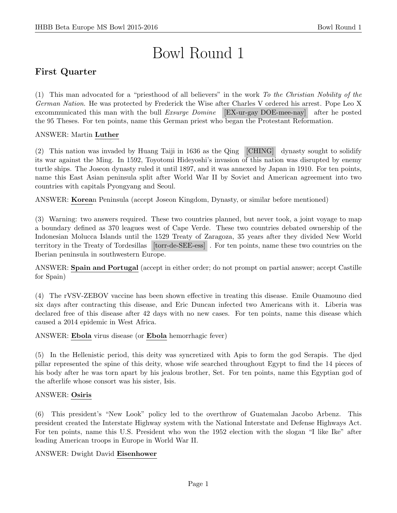# Bowl Round 1

# First Quarter

(1) This man advocated for a "priesthood of all believers" in the work To the Christian Nobility of the German Nation. He was protected by Frederick the Wise after Charles V ordered his arrest. Pope Leo X excommunicated this man with the bull Exsurge Domine [EX-ur-gay DOE-mee-nay] after he posted the 95 Theses. For ten points, name this German priest who began the Protestant Reformation.

# ANSWER: Martin Luther

(2) This nation was invaded by Huang Taiji in 1636 as the Qing [CHING] dynasty sought to solidify its war against the Ming. In 1592, Toyotomi Hideyoshi's invasion of this nation was disrupted by enemy turtle ships. The Joseon dynasty ruled it until 1897, and it was annexed by Japan in 1910. For ten points, name this East Asian peninsula split after World War II by Soviet and American agreement into two countries with capitals Pyongyang and Seoul.

ANSWER: Korean Peninsula (accept Joseon Kingdom, Dynasty, or similar before mentioned)

(3) Warning: two answers required. These two countries planned, but never took, a joint voyage to map a boundary defined as 370 leagues west of Cape Verde. These two countries debated ownership of the Indonesian Molucca Islands until the 1529 Treaty of Zaragoza, 35 years after they divided New World territory in the Treaty of Tordesillas [torr-de-SEE-ess] . For ten points, name these two countries on the Iberian peninsula in southwestern Europe.

ANSWER: Spain and Portugal (accept in either order; do not prompt on partial answer; accept Castille for Spain)

(4) The rVSV-ZEBOV vaccine has been shown effective in treating this disease. Emile Ouamouno died six days after contracting this disease, and Eric Duncan infected two Americans with it. Liberia was declared free of this disease after 42 days with no new cases. For ten points, name this disease which caused a 2014 epidemic in West Africa.

ANSWER: Ebola virus disease (or Ebola hemorrhagic fever)

(5) In the Hellenistic period, this deity was syncretized with Apis to form the god Serapis. The djed pillar represented the spine of this deity, whose wife searched throughout Egypt to find the 14 pieces of his body after he was torn apart by his jealous brother, Set. For ten points, name this Egyptian god of the afterlife whose consort was his sister, Isis.

### ANSWER: Osiris

(6) This president's "New Look" policy led to the overthrow of Guatemalan Jacobo Arbenz. This president created the Interstate Highway system with the National Interstate and Defense Highways Act. For ten points, name this U.S. President who won the 1952 election with the slogan "I like Ike" after leading American troops in Europe in World War II.

### ANSWER: Dwight David Eisenhower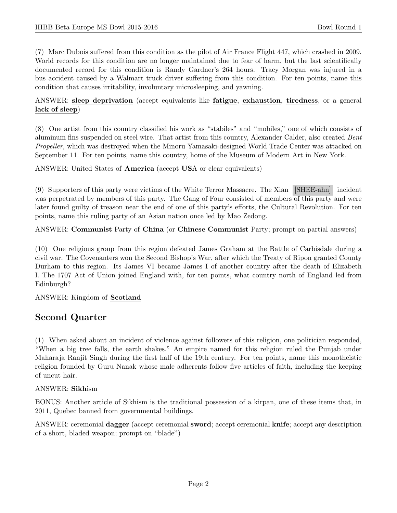(7) Marc Dubois suffered from this condition as the pilot of Air France Flight 447, which crashed in 2009. World records for this condition are no longer maintained due to fear of harm, but the last scientifically documented record for this condition is Randy Gardner's 264 hours. Tracy Morgan was injured in a bus accident caused by a Walmart truck driver suffering from this condition. For ten points, name this condition that causes irritability, involuntary microsleeping, and yawning.

# ANSWER: sleep deprivation (accept equivalents like fatigue, exhaustion, tiredness, or a general lack of sleep)

(8) One artist from this country classified his work as "stabiles" and "mobiles," one of which consists of aluminum fins suspended on steel wire. That artist from this country, Alexander Calder, also created Bent Propeller, which was destroyed when the Minoru Yamasaki-designed World Trade Center was attacked on September 11. For ten points, name this country, home of the Museum of Modern Art in New York.

ANSWER: United States of America (accept USA or clear equivalents)

(9) Supporters of this party were victims of the White Terror Massacre. The Xian [SHEE-ahn] incident was perpetrated by members of this party. The Gang of Four consisted of members of this party and were later found guilty of treason near the end of one of this party's efforts, the Cultural Revolution. For ten points, name this ruling party of an Asian nation once led by Mao Zedong.

ANSWER: Communist Party of China (or Chinese Communist Party; prompt on partial answers)

(10) One religious group from this region defeated James Graham at the Battle of Carbisdale during a civil war. The Covenanters won the Second Bishop's War, after which the Treaty of Ripon granted County Durham to this region. Its James VI became James I of another country after the death of Elizabeth I. The 1707 Act of Union joined England with, for ten points, what country north of England led from Edinburgh?

ANSWER: Kingdom of Scotland

# Second Quarter

(1) When asked about an incident of violence against followers of this religion, one politician responded, "When a big tree falls, the earth shakes." An empire named for this religion ruled the Punjab under Maharaja Ranjit Singh during the first half of the 19th century. For ten points, name this monotheistic religion founded by Guru Nanak whose male adherents follow five articles of faith, including the keeping of uncut hair.

### ANSWER: Sikhism

BONUS: Another article of Sikhism is the traditional possession of a kirpan, one of these items that, in 2011, Quebec banned from governmental buildings.

ANSWER: ceremonial dagger (accept ceremonial sword; accept ceremonial knife; accept any description of a short, bladed weapon; prompt on "blade")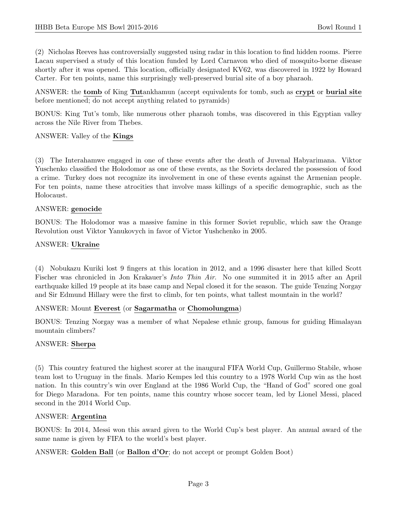(2) Nicholas Reeves has controversially suggested using radar in this location to find hidden rooms. Pierre Lacau supervised a study of this location funded by Lord Carnavon who died of mosquito-borne disease shortly after it was opened. This location, officially designated KV62, was discovered in 1922 by Howard Carter. For ten points, name this surprisingly well-preserved burial site of a boy pharaoh.

ANSWER: the tomb of King Tutankhamun (accept equivalents for tomb, such as crypt or burial site before mentioned; do not accept anything related to pyramids)

BONUS: King Tut's tomb, like numerous other pharaoh tombs, was discovered in this Egyptian valley across the Nile River from Thebes.

#### ANSWER: Valley of the Kings

(3) The Interahamwe engaged in one of these events after the death of Juvenal Habyarimana. Viktor Yuschenko classified the Holodomor as one of these events, as the Soviets declared the possession of food a crime. Turkey does not recognize its involvement in one of these events against the Armenian people. For ten points, name these atrocities that involve mass killings of a specific demographic, such as the Holocaust.

#### ANSWER: genocide

BONUS: The Holodomor was a massive famine in this former Soviet republic, which saw the Orange Revolution oust Viktor Yanukovych in favor of Victor Yushchenko in 2005.

#### ANSWER: Ukraine

(4) Nobukazu Kuriki lost 9 fingers at this location in 2012, and a 1996 disaster here that killed Scott Fischer was chronicled in Jon Krakauer's Into Thin Air. No one summited it in 2015 after an April earthquake killed 19 people at its base camp and Nepal closed it for the season. The guide Tenzing Norgay and Sir Edmund Hillary were the first to climb, for ten points, what tallest mountain in the world?

#### ANSWER: Mount Everest (or Sagarmatha or Chomolungma)

BONUS: Tenzing Norgay was a member of what Nepalese ethnic group, famous for guiding Himalayan mountain climbers?

### ANSWER: Sherpa

(5) This country featured the highest scorer at the inaugural FIFA World Cup, Guillermo Stabile, whose team lost to Uruguay in the finals. Mario Kempes led this country to a 1978 World Cup win as the host nation. In this country's win over England at the 1986 World Cup, the "Hand of God" scored one goal for Diego Maradona. For ten points, name this country whose soccer team, led by Lionel Messi, placed second in the 2014 World Cup.

#### ANSWER: Argentina

BONUS: In 2014, Messi won this award given to the World Cup's best player. An annual award of the same name is given by FIFA to the world's best player.

ANSWER: Golden Ball (or Ballon d'Or; do not accept or prompt Golden Boot)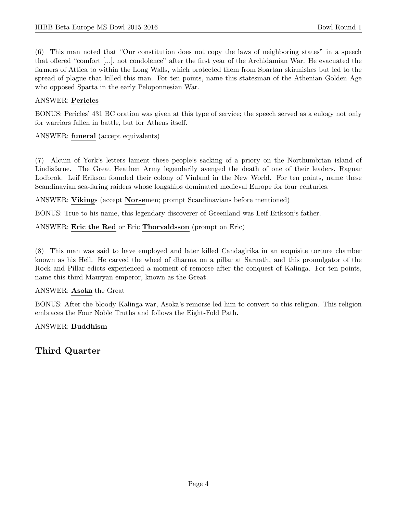(6) This man noted that "Our constitution does not copy the laws of neighboring states" in a speech that offered "comfort [...], not condolence" after the first year of the Archidamian War. He evacuated the farmers of Attica to within the Long Walls, which protected them from Spartan skirmishes but led to the spread of plague that killed this man. For ten points, name this statesman of the Athenian Golden Age who opposed Sparta in the early Peloponnesian War.

# ANSWER: Pericles

BONUS: Pericles' 431 BC oration was given at this type of service; the speech served as a eulogy not only for warriors fallen in battle, but for Athens itself.

# ANSWER: funeral (accept equivalents)

(7) Alcuin of York's letters lament these people's sacking of a priory on the Northumbrian island of Lindisfarne. The Great Heathen Army legendarily avenged the death of one of their leaders, Ragnar Lodbrok. Leif Erikson founded their colony of Vinland in the New World. For ten points, name these Scandinavian sea-faring raiders whose longships dominated medieval Europe for four centuries.

ANSWER: Vikings (accept Norsemen; prompt Scandinavians before mentioned)

BONUS: True to his name, this legendary discoverer of Greenland was Leif Erikson's father.

# ANSWER: Eric the Red or Eric Thorvaldsson (prompt on Eric)

(8) This man was said to have employed and later killed Candagirika in an exquisite torture chamber known as his Hell. He carved the wheel of dharma on a pillar at Sarnath, and this promulgator of the Rock and Pillar edicts experienced a moment of remorse after the conquest of Kalinga. For ten points, name this third Mauryan emperor, known as the Great.

### ANSWER: Asoka the Great

BONUS: After the bloody Kalinga war, Asoka's remorse led him to convert to this religion. This religion embraces the Four Noble Truths and follows the Eight-Fold Path.

### ANSWER: Buddhism

Third Quarter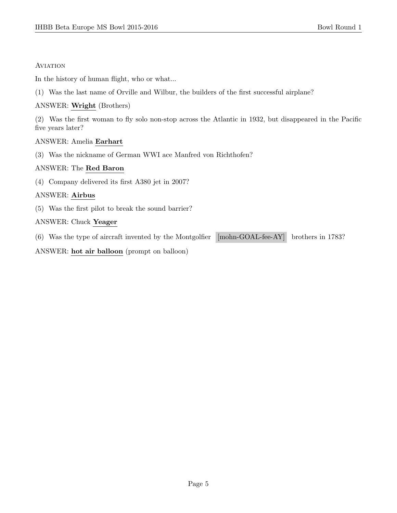#### **AVIATION**

In the history of human flight, who or what...

(1) Was the last name of Orville and Wilbur, the builders of the first successful airplane?

#### ANSWER: Wright (Brothers)

(2) Was the first woman to fly solo non-stop across the Atlantic in 1932, but disappeared in the Pacific five years later?

#### ANSWER: Amelia Earhart

(3) Was the nickname of German WWI ace Manfred von Richthofen?

#### ANSWER: The Red Baron

(4) Company delivered its first A380 jet in 2007?

### ANSWER: Airbus

(5) Was the first pilot to break the sound barrier?

### ANSWER: Chuck Yeager

(6) Was the type of aircraft invented by the Montgolfier [mohn-GOAL-fee-AY] brothers in 1783?

#### ANSWER: hot air balloon (prompt on balloon)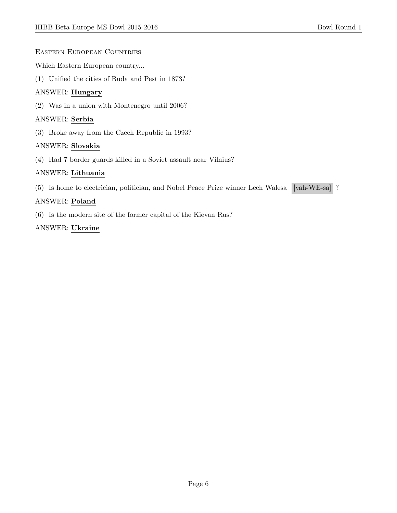Eastern European Countries

Which Eastern European country...

(1) Unified the cities of Buda and Pest in 1873?

### ANSWER: Hungary

(2) Was in a union with Montenegro until 2006?

#### ANSWER: Serbia

(3) Broke away from the Czech Republic in 1993?

#### ANSWER: Slovakia

(4) Had 7 border guards killed in a Soviet assault near Vilnius?

### ANSWER: Lithuania

(5) Is home to electrician, politician, and Nobel Peace Prize winner Lech Walesa [vah-WE-sa] ?

### ANSWER: Poland

(6) Is the modern site of the former capital of the Kievan Rus?

#### ANSWER: Ukraine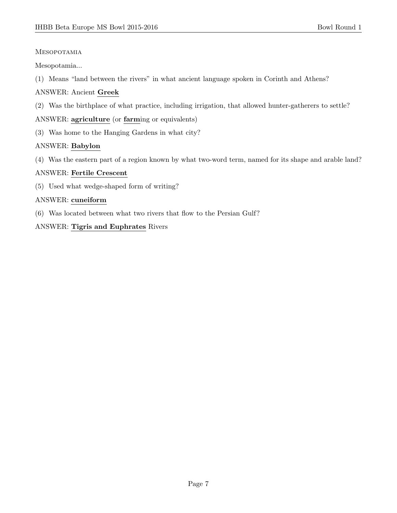### Mesopotamia

Mesopotamia...

(1) Means "land between the rivers" in what ancient language spoken in Corinth and Athens?

# ANSWER: Ancient Greek

(2) Was the birthplace of what practice, including irrigation, that allowed hunter-gatherers to settle?

ANSWER: agriculture (or farming or equivalents)

(3) Was home to the Hanging Gardens in what city?

# ANSWER: Babylon

(4) Was the eastern part of a region known by what two-word term, named for its shape and arable land?

### ANSWER: Fertile Crescent

(5) Used what wedge-shaped form of writing?

# ANSWER: cuneiform

(6) Was located between what two rivers that flow to the Persian Gulf?

# ANSWER: Tigris and Euphrates Rivers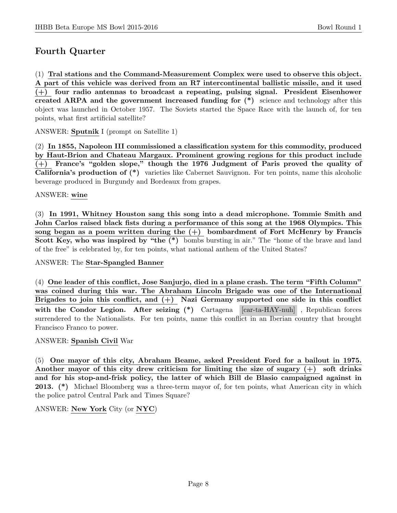# Fourth Quarter

(1) Tral stations and the Command-Measurement Complex were used to observe this object. A part of this vehicle was derived from an R7 intercontinental ballistic missile, and it used (+) four radio antennas to broadcast a repeating, pulsing signal. President Eisenhower created ARPA and the government increased funding for  $(*)$  science and technology after this object was launched in October 1957. The Soviets started the Space Race with the launch of, for ten points, what first artificial satellite?

ANSWER: Sputnik I (prompt on Satellite 1)

(2) In 1855, Napoleon III commissioned a classification system for this commodity, produced by Haut-Brion and Chateau Margaux. Prominent growing regions for this product include (+) France's "golden slope," though the 1976 Judgment of Paris proved the quality of California's production of (\*) varieties like Cabernet Sauvignon. For ten points, name this alcoholic beverage produced in Burgundy and Bordeaux from grapes.

#### ANSWER: wine

(3) In 1991, Whitney Houston sang this song into a dead microphone. Tommie Smith and John Carlos raised black fists during a performance of this song at the 1968 Olympics. This song began as a poem written during the  $(+)$  bombardment of Fort McHenry by Francis Scott Key, who was inspired by "the (\*) bombs bursting in air." The "home of the brave and land of the free" is celebrated by, for ten points, what national anthem of the United States?

#### ANSWER: The Star-Spangled Banner

(4) One leader of this conflict, Jose Sanjurjo, died in a plane crash. The term "Fifth Column" was coined during this war. The Abraham Lincoln Brigade was one of the International Brigades to join this conflict, and  $(+)$  Nazi Germany supported one side in this conflict with the Condor Legion. After seizing (\*) Cartagena [car-ta-HAY-nuh], Republican forces surrendered to the Nationalists. For ten points, name this conflict in an Iberian country that brought Francisco Franco to power.

### ANSWER: Spanish Civil War

(5) One mayor of this city, Abraham Beame, asked President Ford for a bailout in 1975. Another mayor of this city drew criticism for limiting the size of sugary (+) soft drinks and for his stop-and-frisk policy, the latter of which Bill de Blasio campaigned against in 2013. (\*) Michael Bloomberg was a three-term mayor of, for ten points, what American city in which the police patrol Central Park and Times Square?

ANSWER: New York City (or NYC)